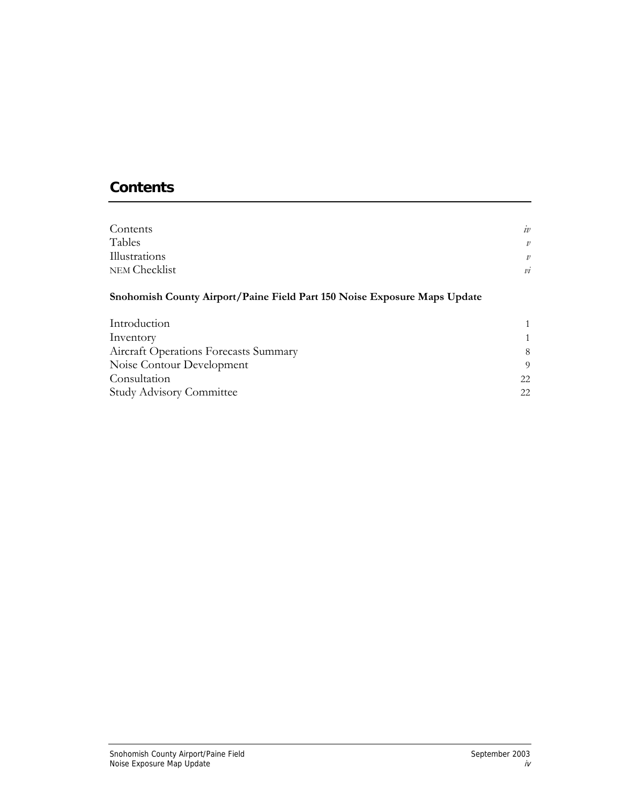# **Contents**

| Contents                                                                 | iv            |
|--------------------------------------------------------------------------|---------------|
| Tables                                                                   | $\mathcal{V}$ |
| Illustrations                                                            | $\mathcal{V}$ |
| NEM Checklist                                                            | $\dot{v}$     |
| Snohomish County Airport/Paine Field Part 150 Noise Exposure Maps Update |               |
| Introduction                                                             |               |
| Inventory                                                                |               |
| Aircraft Operations Forecasts Summary                                    | 8             |
| Noise Contour Development                                                | 9             |
| Consultation                                                             | 22            |
| <b>Study Advisory Committee</b>                                          | 22            |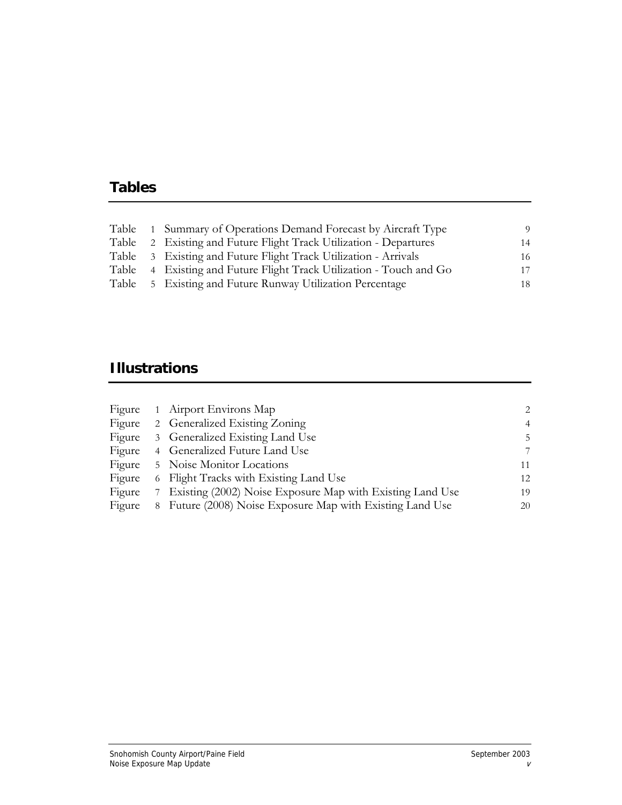# **Tables**

|  | Table 1 Summary of Operations Demand Forecast by Aircraft Type      | -9 |
|--|---------------------------------------------------------------------|----|
|  | Table 2 Existing and Future Flight Track Utilization - Departures   | 14 |
|  | Table 3 Existing and Future Flight Track Utilization - Arrivals     | 16 |
|  | Table 4 Existing and Future Flight Track Utilization - Touch and Go | 17 |
|  | Table 5 Existing and Future Runway Utilization Percentage           | 18 |

# **Illustrations**

|        |   | Figure 1 Airport Environs Map                             | $2^{1}$        |
|--------|---|-----------------------------------------------------------|----------------|
| Figure |   | 2 Generalized Existing Zoning                             | $\overline{4}$ |
| Figure |   | 3 Generalized Existing Land Use                           | 5.             |
| Figure |   | 4 Generalized Future Land Use                             | 7              |
| Figure |   | 5 Noise Monitor Locations                                 | 11             |
| Figure |   | 6 Flight Tracks with Existing Land Use                    | 12             |
| Figure | 7 | Existing (2002) Noise Exposure Map with Existing Land Use | 19             |
| Figure | 8 | Future (2008) Noise Exposure Map with Existing Land Use   | 20             |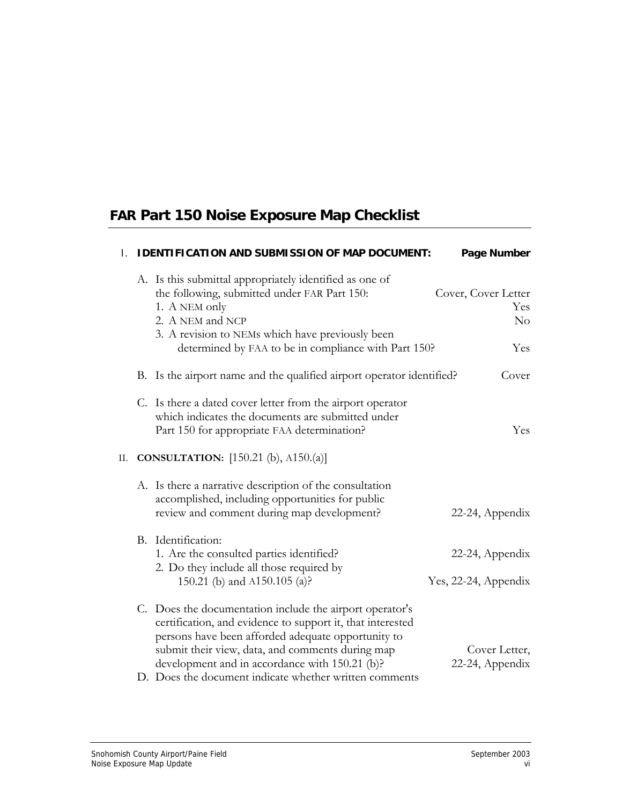# **FAR Part 150 Noise Exposure Map Checklist**

| $\mathbf{I}$ . | <b>IDENTIFICATION AND SUBMISSION OF MAP DOCUMENT:</b>                                                                                                                                                                                                                                                                                        | Page Number                             |
|----------------|----------------------------------------------------------------------------------------------------------------------------------------------------------------------------------------------------------------------------------------------------------------------------------------------------------------------------------------------|-----------------------------------------|
|                | A. Is this submittal appropriately identified as one of<br>the following, submitted under FAR Part 150:<br>1. A NEM only<br>2. A NEM and NCP<br>3. A revision to NEMs which have previously been<br>determined by FAA to be in compliance with Part 150?                                                                                     | Cover, Cover Letter<br>Yes<br>No<br>Yes |
|                | B. Is the airport name and the qualified airport operator identified?                                                                                                                                                                                                                                                                        | Cover                                   |
|                | C. Is there a dated cover letter from the airport operator<br>which indicates the documents are submitted under<br>Part 150 for appropriate FAA determination?                                                                                                                                                                               | Yes                                     |
| П.             | <b>CONSULTATION:</b> [150.21 (b), A150.(a)]                                                                                                                                                                                                                                                                                                  |                                         |
|                | A. Is there a narrative description of the consultation<br>accomplished, including opportunities for public<br>review and comment during map development?                                                                                                                                                                                    | 22-24, Appendix                         |
|                | B. Identification:<br>1. Are the consulted parties identified?<br>2. Do they include all those required by<br>150.21 (b) and A150.105 (a)?                                                                                                                                                                                                   | 22-24, Appendix<br>Yes, 22-24, Appendix |
|                | C. Does the documentation include the airport operator's<br>certification, and evidence to support it, that interested<br>persons have been afforded adequate opportunity to<br>submit their view, data, and comments during map<br>development and in accordance with 150.21 (b)?<br>D. Does the document indicate whether written comments | Cover Letter,<br>22-24, Appendix        |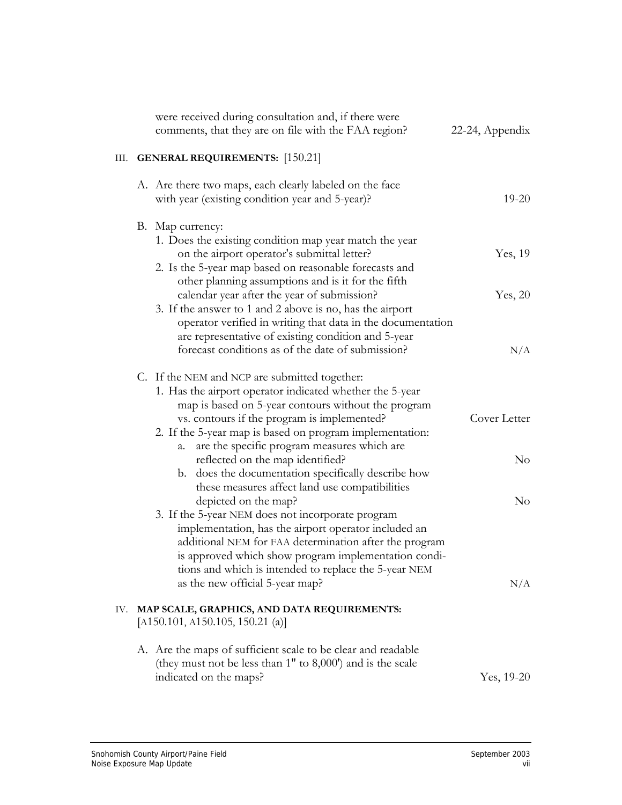|      | were received during consultation and, if there were<br>comments, that they are on file with the FAA region?                                                                                                                                                                                                                     | 22-24, Appendix      |
|------|----------------------------------------------------------------------------------------------------------------------------------------------------------------------------------------------------------------------------------------------------------------------------------------------------------------------------------|----------------------|
| III. | <b>GENERAL REQUIREMENTS:</b> [150.21]                                                                                                                                                                                                                                                                                            |                      |
|      | A. Are there two maps, each clearly labeled on the face<br>with year (existing condition year and 5-year)?                                                                                                                                                                                                                       | $19 - 20$            |
|      | B. Map currency:<br>1. Does the existing condition map year match the year<br>on the airport operator's submittal letter?<br>2. Is the 5-year map based on reasonable forecasts and<br>other planning assumptions and is it for the fifth                                                                                        | Yes, 19              |
|      | calendar year after the year of submission?<br>3. If the answer to 1 and 2 above is no, has the airport<br>operator verified in writing that data in the documentation<br>are representative of existing condition and 5-year<br>forecast conditions as of the date of submission?                                               | Yes, 20<br>N/A       |
|      | C. If the NEM and NCP are submitted together:<br>1. Has the airport operator indicated whether the 5-year<br>map is based on 5-year contours without the program<br>vs. contours if the program is implemented?<br>2. If the 5-year map is based on program implementation:<br>are the specific program measures which are<br>a. | Cover Letter         |
|      | reflected on the map identified?<br>does the documentation specifically describe how<br>b.<br>these measures affect land use compatibilities<br>depicted on the map?                                                                                                                                                             | $\rm No$<br>$\rm No$ |
|      | 3. If the 5-year NEM does not incorporate program<br>implementation, has the airport operator included an<br>additional NEM for FAA determination after the program<br>is approved which show program implementation condi-<br>tions and which is intended to replace the 5-year NEM<br>as the new official 5-year map?          | N/A                  |
| IV.  | MAP SCALE, GRAPHICS, AND DATA REQUIREMENTS:<br>[A150.101, A150.105, 150.21 (a)]                                                                                                                                                                                                                                                  |                      |
|      | A. Are the maps of sufficient scale to be clear and readable<br>(they must not be less than $1"$ to $8,000'$ ) and is the scale<br>indicated on the maps?                                                                                                                                                                        | Yes, $19-20$         |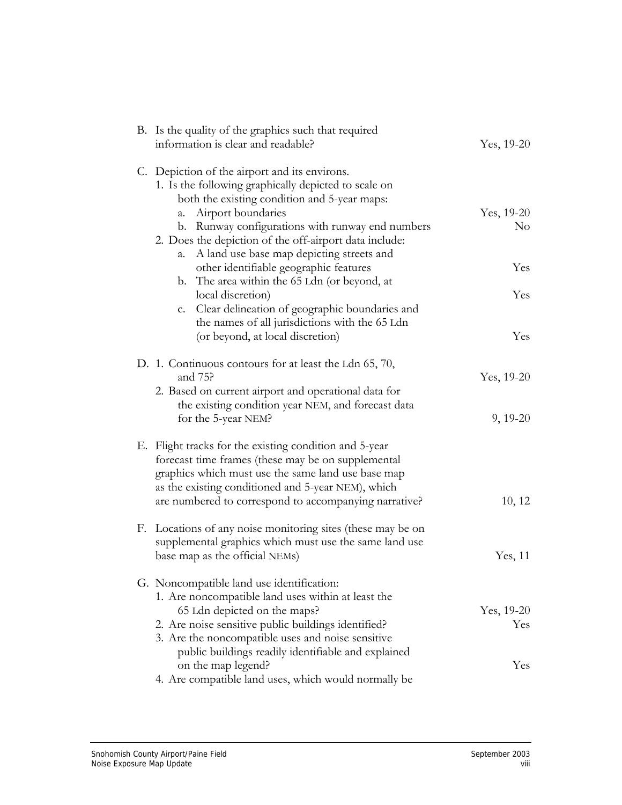| B. Is the quality of the graphics such that required<br>information is clear and readable?                                                                         | Yes, 19-20 |
|--------------------------------------------------------------------------------------------------------------------------------------------------------------------|------------|
|                                                                                                                                                                    |            |
| C. Depiction of the airport and its environs.<br>1. Is the following graphically depicted to scale on<br>both the existing condition and 5-year maps:              |            |
| Airport boundaries<br>a.                                                                                                                                           | Yes, 19-20 |
| b. Runway configurations with runway end numbers                                                                                                                   | $\rm No$   |
| 2. Does the depiction of the off-airport data include:<br>A land use base map depicting streets and<br>a.                                                          |            |
| other identifiable geographic features                                                                                                                             | Yes        |
| b. The area within the 65 Ldn (or beyond, at                                                                                                                       |            |
| local discretion)                                                                                                                                                  | Yes        |
| c. Clear delineation of geographic boundaries and<br>the names of all jurisdictions with the 65 Ldn                                                                |            |
| (or beyond, at local discretion)                                                                                                                                   | Yes        |
| D. 1. Continuous contours for at least the Ldn 65, 70,<br>and 75?                                                                                                  | Yes, 19-20 |
| 2. Based on current airport and operational data for<br>the existing condition year NEM, and forecast data                                                         |            |
| for the 5-year NEM?                                                                                                                                                | $9, 19-20$ |
| E. Flight tracks for the existing condition and 5-year<br>forecast time frames (these may be on supplemental<br>graphics which must use the same land use base map |            |
| as the existing conditioned and 5-year NEM), which                                                                                                                 |            |
| are numbered to correspond to accompanying narrative?                                                                                                              | 10, 12     |
| F. Locations of any noise monitoring sites (these may be on<br>supplemental graphics which must use the same land use                                              |            |
| base map as the official NEMs)                                                                                                                                     | Yes, 11    |
| G. Noncompatible land use identification:                                                                                                                          |            |
| 1. Are noncompatible land uses within at least the<br>65 Ldn depicted on the maps?                                                                                 | Yes, 19-20 |
| 2. Are noise sensitive public buildings identified?                                                                                                                | Yes        |
| 3. Are the noncompatible uses and noise sensitive                                                                                                                  |            |
| public buildings readily identifiable and explained                                                                                                                |            |
| on the map legend?                                                                                                                                                 | Yes        |
| 4. Are compatible land uses, which would normally be                                                                                                               |            |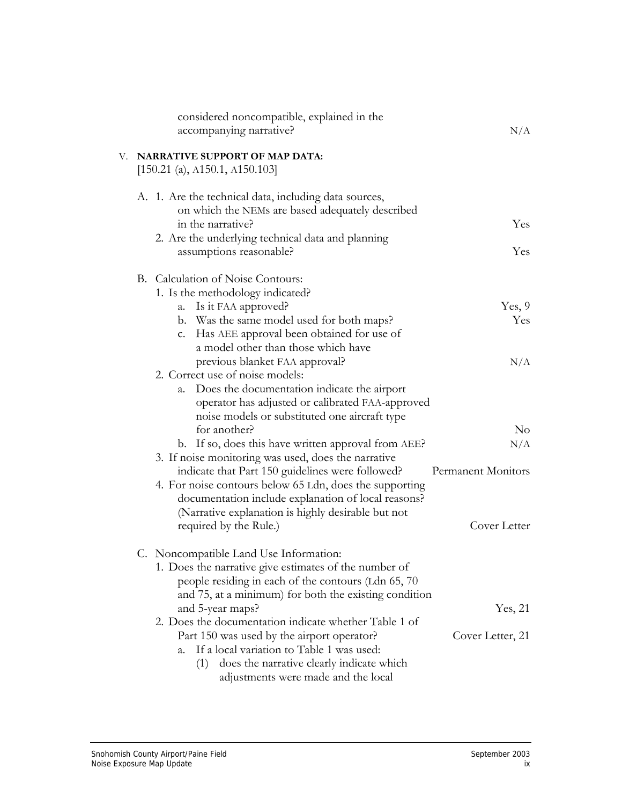| considered noncompatible, explained in the<br>accompanying narrative?        | N/A                |
|------------------------------------------------------------------------------|--------------------|
| V. NARRATIVE SUPPORT OF MAP DATA:<br>[150.21 (a), A150.1, A150.103]          |                    |
| A. 1. Are the technical data, including data sources,                        |                    |
| on which the NEMs are based adequately described                             |                    |
| in the narrative?                                                            | Yes                |
| 2. Are the underlying technical data and planning<br>assumptions reasonable? | Yes.               |
| B. Calculation of Noise Contours:                                            |                    |
| 1. Is the methodology indicated?                                             |                    |
| a. Is it FAA approved?                                                       | Yes, 9             |
| b. Was the same model used for both maps?                                    | Yes                |
| c. Has AEE approval been obtained for use of                                 |                    |
| a model other than those which have                                          | N/A                |
| previous blanket FAA approval?<br>2. Correct use of noise models:            |                    |
| Does the documentation indicate the airport<br>a.                            |                    |
| operator has adjusted or calibrated FAA-approved                             |                    |
| noise models or substituted one aircraft type                                |                    |
| for another?                                                                 | $\rm No$           |
| b. If so, does this have written approval from AEE?                          | N/A                |
| 3. If noise monitoring was used, does the narrative                          |                    |
| indicate that Part 150 guidelines were followed?                             | Permanent Monitors |
| 4. For noise contours below 65 Ldn, does the supporting                      |                    |
| documentation include explanation of local reasons?                          |                    |
| (Narrative explanation is highly desirable but not                           |                    |
| required by the Rule.)                                                       | Cover Letter       |
| C. Noncompatible Land Use Information:                                       |                    |
| 1. Does the narrative give estimates of the number of                        |                    |
| people residing in each of the contours (Ldn 65, 70)                         |                    |
| and 75, at a minimum) for both the existing condition                        |                    |
| and 5-year maps?                                                             | Yes, 21            |
| 2. Does the documentation indicate whether Table 1 of                        |                    |
| Part 150 was used by the airport operator?                                   | Cover Letter, 21   |
| If a local variation to Table 1 was used:<br>a.                              |                    |
| does the narrative clearly indicate which<br>(1)                             |                    |
| adjustments were made and the local                                          |                    |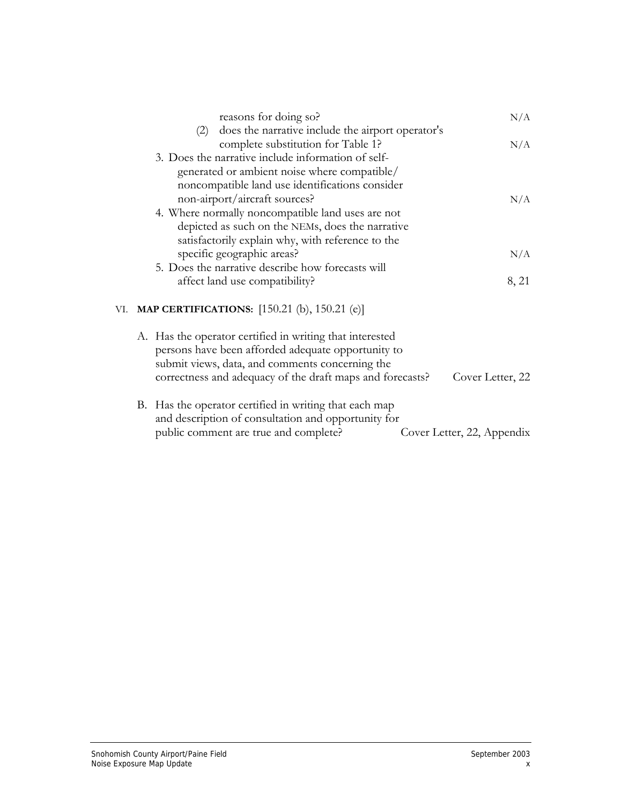| reasons for doing so?                                      | N/A              |
|------------------------------------------------------------|------------------|
| does the narrative include the airport operator's<br>(2)   |                  |
| complete substitution for Table 1?                         | N/A              |
| 3. Does the narrative include information of self-         |                  |
| generated or ambient noise where compatible/               |                  |
| noncompatible land use identifications consider            |                  |
| non-airport/aircraft sources?                              | N/A              |
| 4. Where normally noncompatible land uses are not          |                  |
| depicted as such on the NEMs, does the narrative           |                  |
| satisfactorily explain why, with reference to the          |                  |
| specific geographic areas?                                 | N/A              |
| 5. Does the narrative describe how forecasts will          |                  |
| affect land use compatibility?                             | 8, 21            |
| <b>MAP CERTIFICATIONS:</b> [150.21 (b), 150.21 (e)]<br>VI. |                  |
| A. Has the operator certified in writing that interested   |                  |
| persons have been afforded adequate opportunity to         |                  |
| submit views, data, and comments concerning the            |                  |
| correctness and adequacy of the draft maps and forecasts?  | Cover Letter, 22 |
| B. Has the operator certified in writing that each map     |                  |
| and description of consultation and opportunity for        |                  |

| public comment are true and complete? |  | Cover Letter, 22, Appendix |
|---------------------------------------|--|----------------------------|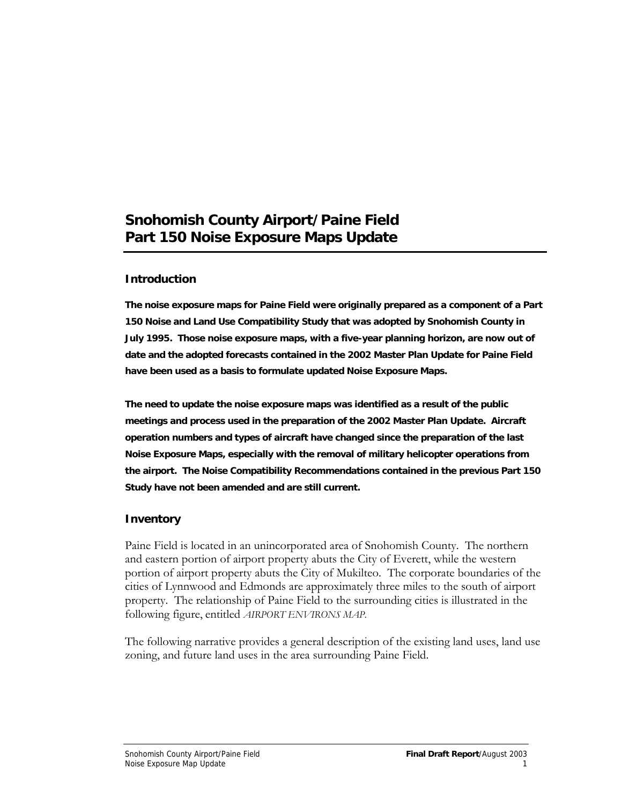## **Snohomish County Airport/Paine Field Part 150 Noise Exposure Maps Update**

### **Introduction**

**The noise exposure maps for Paine Field were originally prepared as a component of a Part 150 Noise and Land Use Compatibility Study that was adopted by Snohomish County in July 1995. Those noise exposure maps, with a five-year planning horizon, are now out of date and the adopted forecasts contained in the 2002 Master Plan Update for Paine Field have been used as a basis to formulate updated Noise Exposure Maps.** 

**The need to update the noise exposure maps was identified as a result of the public meetings and process used in the preparation of the 2002 Master Plan Update. Aircraft operation numbers and types of aircraft have changed since the preparation of the last Noise Exposure Maps, especially with the removal of military helicopter operations from the airport. The Noise Compatibility Recommendations contained in the previous Part 150 Study have not been amended and are still current.** 

#### **Inventory**

Paine Field is located in an unincorporated area of Snohomish County. The northern and eastern portion of airport property abuts the City of Everett, while the western portion of airport property abuts the City of Mukilteo. The corporate boundaries of the cities of Lynnwood and Edmonds are approximately three miles to the south of airport property. The relationship of Paine Field to the surrounding cities is illustrated in the following figure, entitled *AIRPORT ENVIRONS MAP.*

The following narrative provides a general description of the existing land uses, land use zoning, and future land uses in the area surrounding Paine Field.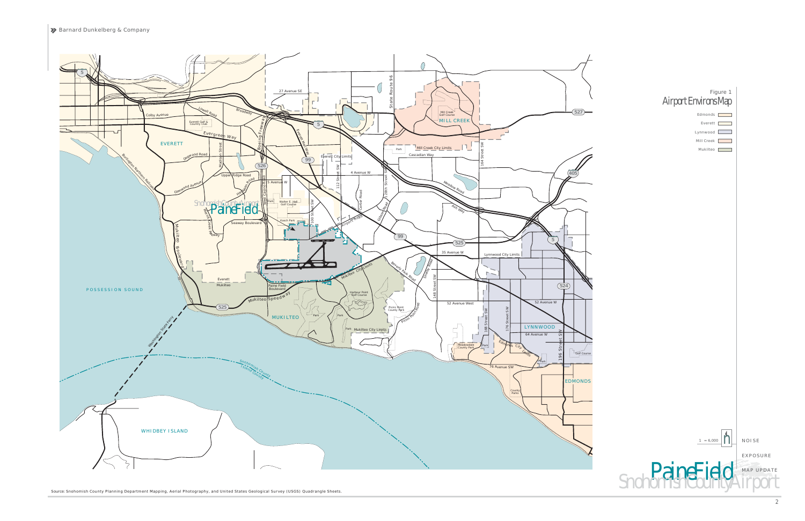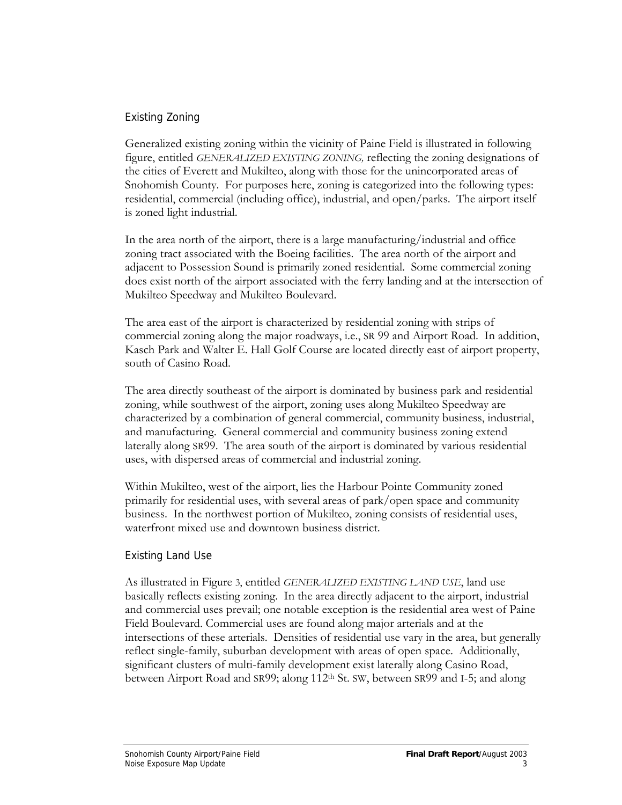## Existing Zoning

Generalized existing zoning within the vicinity of Paine Field is illustrated in following figure, entitled *GENERALIZED EXISTING ZONING,* reflecting the zoning designations of the cities of Everett and Mukilteo, along with those for the unincorporated areas of Snohomish County. For purposes here, zoning is categorized into the following types: residential, commercial (including office), industrial, and open/parks. The airport itself is zoned light industrial.

In the area north of the airport, there is a large manufacturing/industrial and office zoning tract associated with the Boeing facilities. The area north of the airport and adjacent to Possession Sound is primarily zoned residential. Some commercial zoning does exist north of the airport associated with the ferry landing and at the intersection of Mukilteo Speedway and Mukilteo Boulevard.

The area east of the airport is characterized by residential zoning with strips of commercial zoning along the major roadways, i.e., SR 99 and Airport Road. In addition, Kasch Park and Walter E. Hall Golf Course are located directly east of airport property, south of Casino Road.

The area directly southeast of the airport is dominated by business park and residential zoning, while southwest of the airport, zoning uses along Mukilteo Speedway are characterized by a combination of general commercial, community business, industrial, and manufacturing. General commercial and community business zoning extend laterally along SR99. The area south of the airport is dominated by various residential uses, with dispersed areas of commercial and industrial zoning.

Within Mukilteo, west of the airport, lies the Harbour Pointe Community zoned primarily for residential uses, with several areas of park/open space and community business. In the northwest portion of Mukilteo, zoning consists of residential uses, waterfront mixed use and downtown business district.

## Existing Land Use

As illustrated in Figure 3, entitled *GENERALIZED EXISTING LAND USE*, land use basically reflects existing zoning. In the area directly adjacent to the airport, industrial and commercial uses prevail; one notable exception is the residential area west of Paine Field Boulevard. Commercial uses are found along major arterials and at the intersections of these arterials. Densities of residential use vary in the area, but generally reflect single-family, suburban development with areas of open space. Additionally, significant clusters of multi-family development exist laterally along Casino Road, between Airport Road and SR99; along 112<sup>th</sup> St. SW, between SR99 and I-5; and along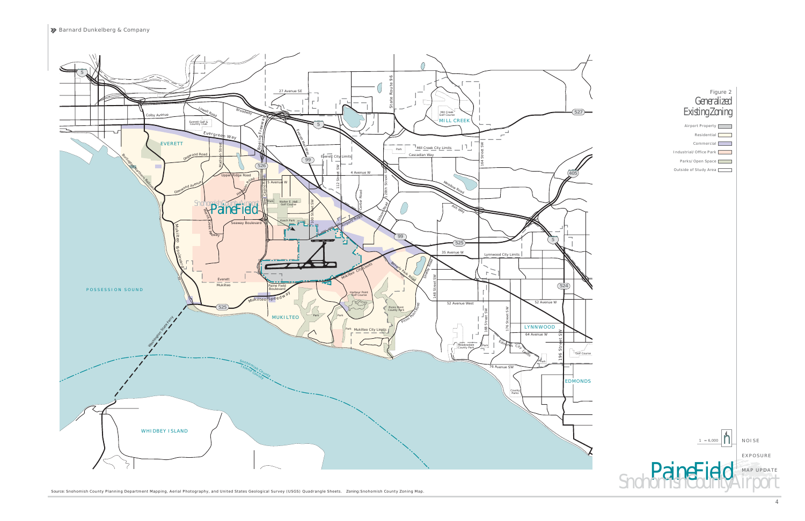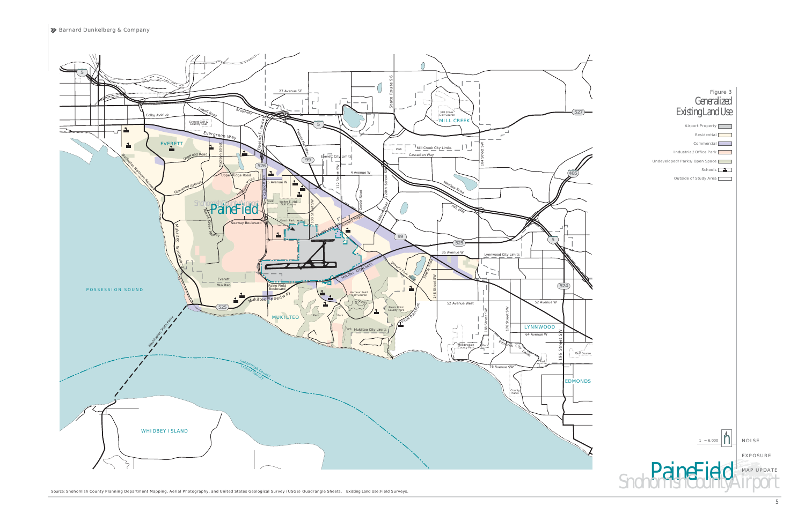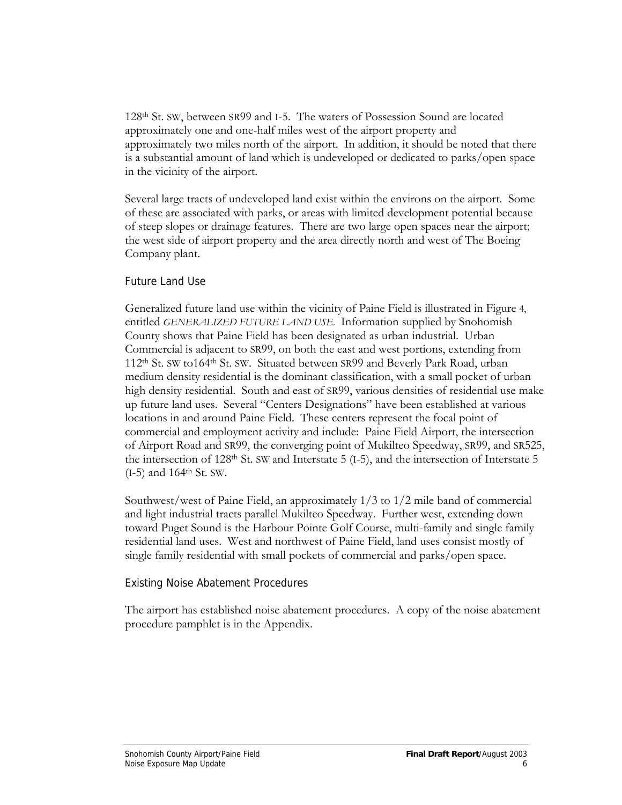128th St. SW, between SR99 and I-5. The waters of Possession Sound are located approximately one and one-half miles west of the airport property and approximately two miles north of the airport. In addition, it should be noted that there is a substantial amount of land which is undeveloped or dedicated to parks/open space in the vicinity of the airport.

Several large tracts of undeveloped land exist within the environs on the airport. Some of these are associated with parks, or areas with limited development potential because of steep slopes or drainage features. There are two large open spaces near the airport; the west side of airport property and the area directly north and west of The Boeing Company plant.

### Future Land Use

Generalized future land use within the vicinity of Paine Field is illustrated in Figure 4, entitled *GENERALIZED FUTURE LAND USE.* Information supplied by Snohomish County shows that Paine Field has been designated as urban industrial. Urban Commercial is adjacent to SR99, on both the east and west portions, extending from 112th St. SW to164th St. SW. Situated between SR99 and Beverly Park Road, urban medium density residential is the dominant classification, with a small pocket of urban high density residential. South and east of SR99, various densities of residential use make up future land uses. Several "Centers Designations" have been established at various locations in and around Paine Field. These centers represent the focal point of commercial and employment activity and include: Paine Field Airport, the intersection of Airport Road and SR99, the converging point of Mukilteo Speedway, SR99, and SR525, the intersection of 128th St. SW and Interstate 5 (I-5), and the intersection of Interstate 5  $(I-5)$  and 164<sup>th</sup> St. SW.

Southwest/west of Paine Field, an approximately 1/3 to 1/2 mile band of commercial and light industrial tracts parallel Mukilteo Speedway. Further west, extending down toward Puget Sound is the Harbour Pointe Golf Course, multi-family and single family residential land uses. West and northwest of Paine Field, land uses consist mostly of single family residential with small pockets of commercial and parks/open space.

## Existing Noise Abatement Procedures

The airport has established noise abatement procedures. A copy of the noise abatement procedure pamphlet is in the Appendix.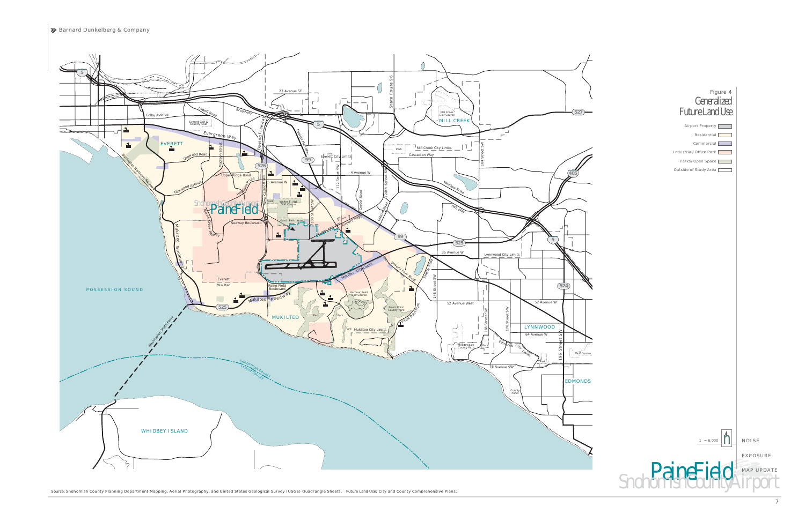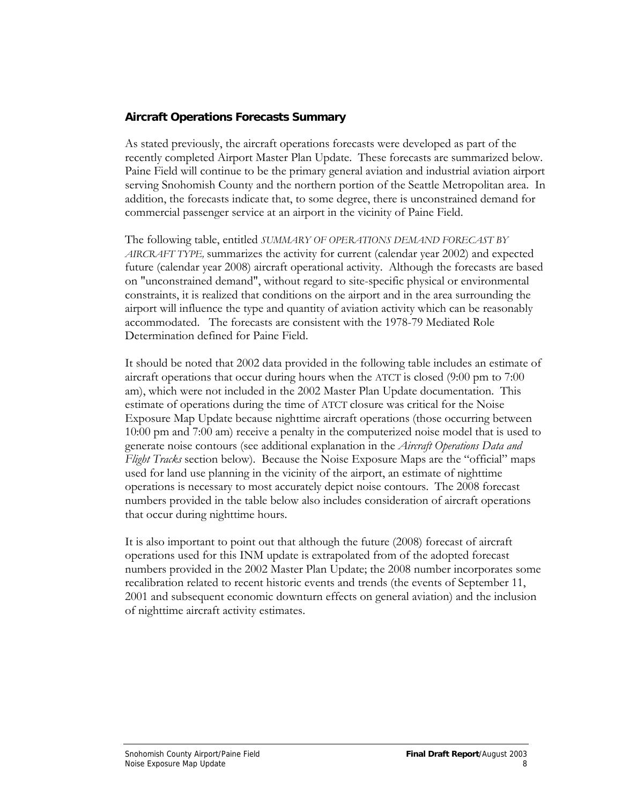## **Aircraft Operations Forecasts Summary**

As stated previously, the aircraft operations forecasts were developed as part of the recently completed Airport Master Plan Update. These forecasts are summarized below. Paine Field will continue to be the primary general aviation and industrial aviation airport serving Snohomish County and the northern portion of the Seattle Metropolitan area. In addition, the forecasts indicate that, to some degree, there is unconstrained demand for commercial passenger service at an airport in the vicinity of Paine Field.

The following table, entitled *SUMMARY OF OPERATIONS DEMAND FORECAST BY AIRCRAFT TYPE,* summarizes the activity for current (calendar year 2002) and expected future (calendar year 2008) aircraft operational activity. Although the forecasts are based on "unconstrained demand", without regard to site-specific physical or environmental constraints, it is realized that conditions on the airport and in the area surrounding the airport will influence the type and quantity of aviation activity which can be reasonably accommodated. The forecasts are consistent with the 1978-79 Mediated Role Determination defined for Paine Field.

It should be noted that 2002 data provided in the following table includes an estimate of aircraft operations that occur during hours when the ATCT is closed (9:00 pm to 7:00 am), which were not included in the 2002 Master Plan Update documentation. This estimate of operations during the time of ATCT closure was critical for the Noise Exposure Map Update because nighttime aircraft operations (those occurring between 10:00 pm and 7:00 am) receive a penalty in the computerized noise model that is used to generate noise contours (see additional explanation in the *Aircraft Operations Data and Flight Tracks* section below). Because the Noise Exposure Maps are the "official" maps used for land use planning in the vicinity of the airport, an estimate of nighttime operations is necessary to most accurately depict noise contours. The 2008 forecast numbers provided in the table below also includes consideration of aircraft operations that occur during nighttime hours.

It is also important to point out that although the future (2008) forecast of aircraft operations used for this INM update is extrapolated from of the adopted forecast numbers provided in the 2002 Master Plan Update; the 2008 number incorporates some recalibration related to recent historic events and trends (the events of September 11, 2001 and subsequent economic downturn effects on general aviation) and the inclusion of nighttime aircraft activity estimates.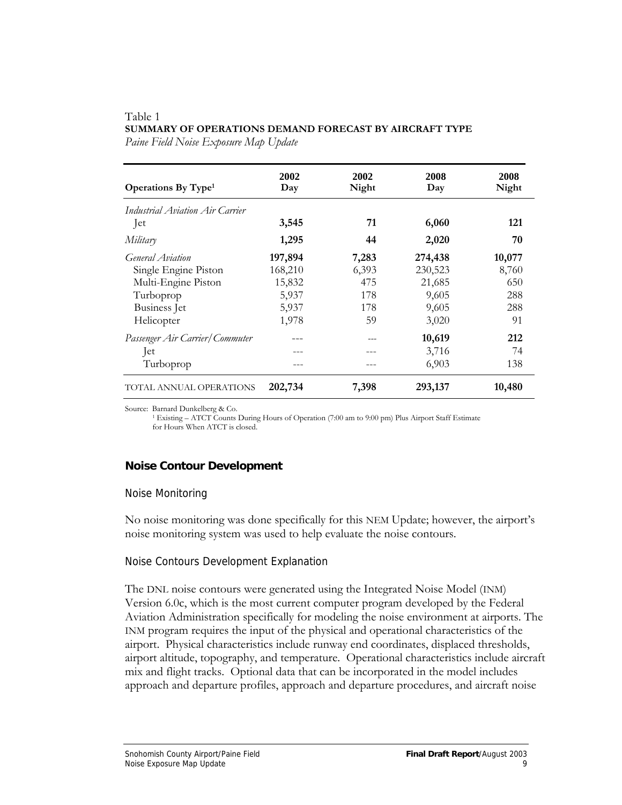#### Table 1 **SUMMARY OF OPERATIONS DEMAND FORECAST BY AIRCRAFT TYPE**

*Paine Field Noise Exposure Map Update* 

| <b>Operations By Type</b> <sup>1</sup> | 2002<br>Day | 2002<br>Night | 2008<br>Day | 2008<br>Night |
|----------------------------------------|-------------|---------------|-------------|---------------|
| Industrial Aviation Air Carrier        |             |               |             |               |
| Jet                                    | 3,545       | 71            | 6,060       | 121           |
| Military                               | 1,295       | 44            | 2,020       | 70            |
| General Aviation                       | 197,894     | 7,283         | 274,438     | 10,077        |
| Single Engine Piston                   | 168,210     | 6,393         | 230,523     | 8,760         |
| Multi-Engine Piston                    | 15,832      | 475           | 21,685      | 650           |
| Turboprop                              | 5,937       | 178           | 9,605       | 288           |
| <b>Business</b> Jet                    | 5,937       | 178           | 9,605       | 288           |
| Helicopter                             | 1,978       | 59            | 3,020       | 91            |
| Passenger Air Carrier/Commuter         |             |               | 10,619      | 212           |
| $ $ et                                 |             |               | 3,716       | 74            |
| Turboprop                              |             |               | 6,903       | 138           |
| TOTAL ANNUAL OPERATIONS                | 202,734     | 7,398         | 293,137     | 10,480        |

Source: Barnard Dunkelberg & Co.<br><sup>1</sup> Existing – ATCT Counts During Hours of Operation (7:00 am to 9:00 pm) Plus Airport Staff Estimate for Hours When ATCT is closed.

## **Noise Contour Development**

#### Noise Monitoring

No noise monitoring was done specifically for this NEM Update; however, the airport's noise monitoring system was used to help evaluate the noise contours.

#### Noise Contours Development Explanation

The DNL noise contours were generated using the Integrated Noise Model (INM) Version 6.0c, which is the most current computer program developed by the Federal Aviation Administration specifically for modeling the noise environment at airports. The INM program requires the input of the physical and operational characteristics of the airport. Physical characteristics include runway end coordinates, displaced thresholds, airport altitude, topography, and temperature. Operational characteristics include aircraft mix and flight tracks. Optional data that can be incorporated in the model includes approach and departure profiles, approach and departure procedures, and aircraft noise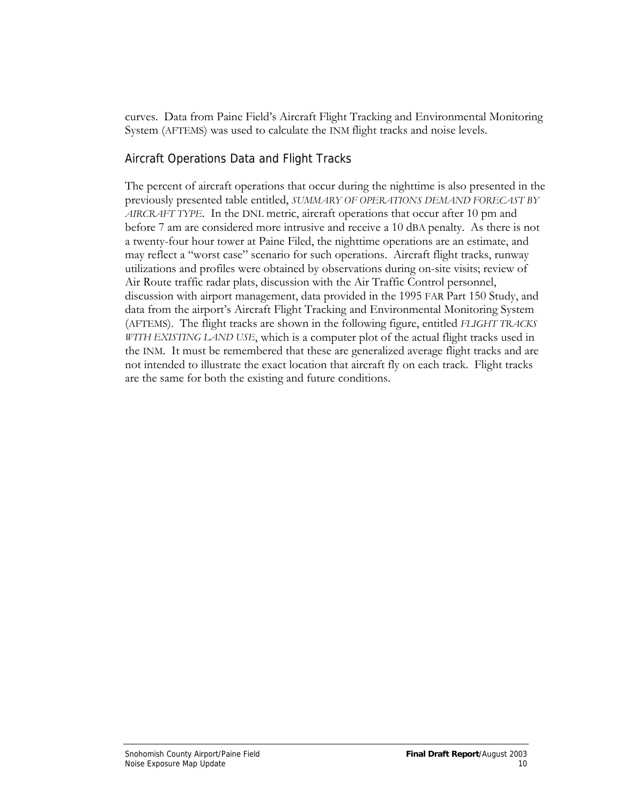curves. Data from Paine Field's Aircraft Flight Tracking and Environmental Monitoring System (AFTEMS) was used to calculate the INM flight tracks and noise levels.

## Aircraft Operations Data and Flight Tracks

The percent of aircraft operations that occur during the nighttime is also presented in the previously presented table entitled, *SUMMARY OF OPERATIONS DEMAND FORECAST BY AIRCRAFT TYPE*. In the DNL metric, aircraft operations that occur after 10 pm and before 7 am are considered more intrusive and receive a 10 dBA penalty. As there is not a twenty-four hour tower at Paine Filed, the nighttime operations are an estimate, and may reflect a "worst case" scenario for such operations. Aircraft flight tracks, runway utilizations and profiles were obtained by observations during on-site visits; review of Air Route traffic radar plats, discussion with the Air Traffic Control personnel, discussion with airport management, data provided in the 1995 FAR Part 150 Study, and data from the airport's Aircraft Flight Tracking and Environmental Monitoring System (AFTEMS). The flight tracks are shown in the following figure, entitled *FLIGHT TRACKS WITH EXISTING LAND USE*, which is a computer plot of the actual flight tracks used in the INM. It must be remembered that these are generalized average flight tracks and are not intended to illustrate the exact location that aircraft fly on each track. Flight tracks are the same for both the existing and future conditions.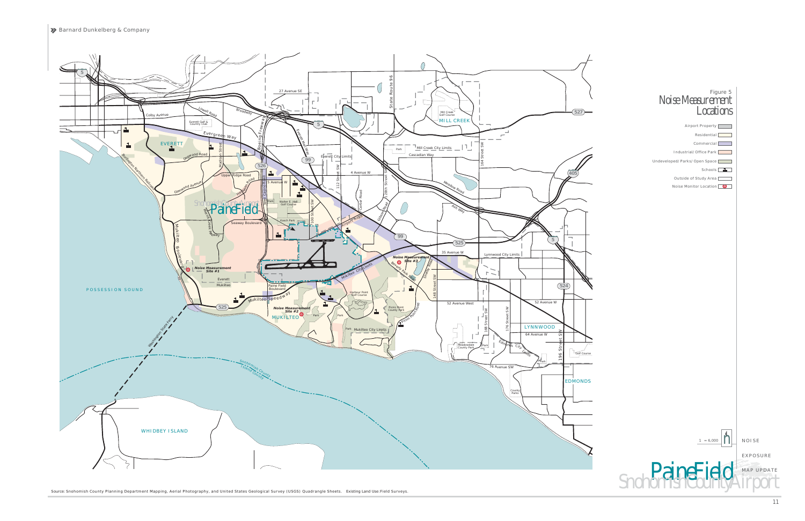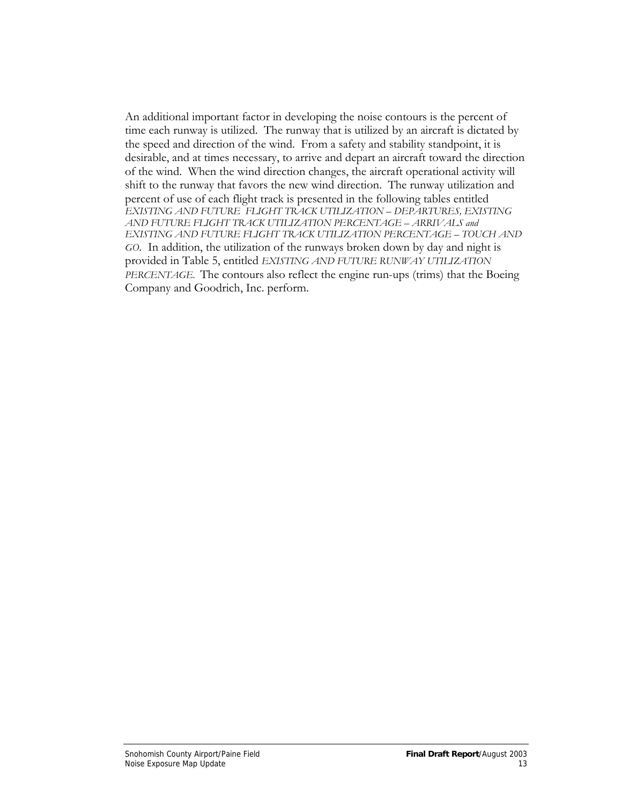An additional important factor in developing the noise contours is the percent of time each runway is utilized. The runway that is utilized by an aircraft is dictated by the speed and direction of the wind. From a safety and stability standpoint, it is desirable, and at times necessary, to arrive and depart an aircraft toward the direction of the wind. When the wind direction changes, the aircraft operational activity will shift to the runway that favors the new wind direction. The runway utilization and percent of use of each flight track is presented in the following tables entitled *EXISTING AND FUTURE FLIGHT TRACK UTILIZATION – DEPARTURES, EXISTING AND FUTURE FLIGHT TRACK UTILIZATION PERCENTAGE – ARRIVALS and EXISTING AND FUTURE FLIGHT TRACK UTILIZATION PERCENTAGE – TOUCH AND GO*. In addition, the utilization of the runways broken down by day and night is provided in Table 5, entitled *EXISTING AND FUTURE RUNWAY UTILIZATION PERCENTAGE*. The contours also reflect the engine run-ups (trims) that the Boeing Company and Goodrich, Inc. perform.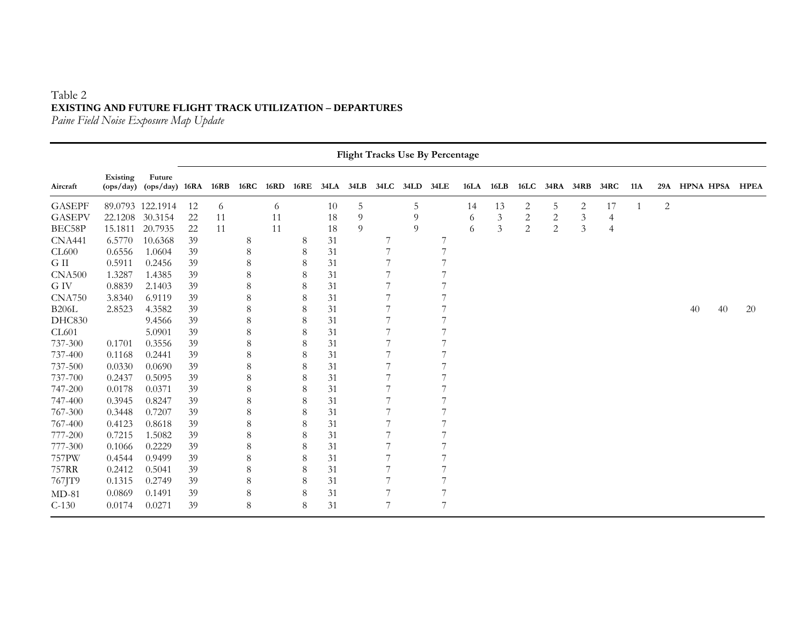## Table 2 **EXISTING AND FUTURE FLIGHT TRACK UTILIZATION – DEPARTURES**

*Paine Field Noise Exposure Map Update* 

|               |                       |                            |    |      |             |             |             |             |      |      |           | <b>Flight Tracks Use By Percentage</b> |             |                |                |                |                |                |     |                |                  |             |
|---------------|-----------------------|----------------------------|----|------|-------------|-------------|-------------|-------------|------|------|-----------|----------------------------------------|-------------|----------------|----------------|----------------|----------------|----------------|-----|----------------|------------------|-------------|
| Aircraft      | Existing<br>(ops/day) | Future<br>$(ops/day)$ 16RA |    | 16RB | <b>16RC</b> | <b>16RD</b> | <b>16RE</b> | <b>34LA</b> | 34LB | 34LC | 34LD 34LE |                                        | <b>16LA</b> | 16LB           | 16LC           | 34RA           | 34RB           | 34RC           | 11A | 29A            | <b>HPNA HPSA</b> | <b>HPEA</b> |
| <b>GASEPF</b> |                       | 89.0793 122.1914           | 12 | 6    |             | 6           |             | 10          | 5    |      | 5         |                                        | 14          | 13             | 2              | 5              | 2              | 17             | -1  | $\overline{2}$ |                  |             |
| <b>GASEPV</b> | 22.1208               | 30.3154                    | 22 | 11   |             | 11          |             | 18          | 9    |      | 9         |                                        | 6           | $\mathfrak{Z}$ | $\mathbf{2}$   | $\sqrt{2}$     | $\mathfrak{Z}$ | 4              |     |                |                  |             |
| BEC58P        | 15.1811               | 20.7935                    | 22 | 11   |             | 11          |             | 18          | 9    |      | 9         |                                        | 6           | 3              | $\overline{c}$ | $\overline{2}$ | $\mathfrak{Z}$ | $\overline{4}$ |     |                |                  |             |
| <b>CNA441</b> | 6.5770                | 10.6368                    | 39 |      | 8           |             | 8           | 31          |      |      |           |                                        |             |                |                |                |                |                |     |                |                  |             |
| CL600         | 0.6556                | 1.0604                     | 39 |      | $\,8\,$     |             | 8           | 31          |      | 7    |           | 7                                      |             |                |                |                |                |                |     |                |                  |             |
| G II          | 0.5911                | 0.2456                     | 39 |      | 8           |             | 8           | 31          |      | 7    |           | 7                                      |             |                |                |                |                |                |     |                |                  |             |
| <b>CNA500</b> | 1.3287                | 1.4385                     | 39 |      | 8           |             | 8           | 31          |      |      |           |                                        |             |                |                |                |                |                |     |                |                  |             |
| G IV          | 0.8839                | 2.1403                     | 39 |      | 8           |             | 8           | 31          |      |      |           |                                        |             |                |                |                |                |                |     |                |                  |             |
| <b>CNA750</b> | 3.8340                | 6.9119                     | 39 |      | 8           |             | 8           | 31          |      | 7    |           | 7                                      |             |                |                |                |                |                |     |                |                  |             |
| <b>B206L</b>  | 2.8523                | 4.3582                     | 39 |      | 8           |             | 8           | 31          |      | 7    |           |                                        |             |                |                |                |                |                |     |                | 40<br>40         | 20          |
| <b>DHC830</b> |                       | 9.4566                     | 39 |      | 8           |             | 8           | 31          |      |      |           |                                        |             |                |                |                |                |                |     |                |                  |             |
| <b>CL601</b>  |                       | 5.0901                     | 39 |      | 8           |             | 8           | 31          |      |      |           |                                        |             |                |                |                |                |                |     |                |                  |             |
| 737-300       | 0.1701                | 0.3556                     | 39 |      | 8           |             | 8           | 31          |      | 7    |           | 7                                      |             |                |                |                |                |                |     |                |                  |             |
| 737-400       | 0.1168                | 0.2441                     | 39 |      | 8           |             | 8           | 31          |      | 7    |           |                                        |             |                |                |                |                |                |     |                |                  |             |
| 737-500       | 0.0330                | 0.0690                     | 39 |      | 8           |             | 8           | 31          |      |      |           |                                        |             |                |                |                |                |                |     |                |                  |             |
| 737-700       | 0.2437                | 0.5095                     | 39 |      | 8           |             | 8           | 31          |      | 7    |           | 7                                      |             |                |                |                |                |                |     |                |                  |             |
| 747-200       | 0.0178                | 0.0371                     | 39 |      | 8           |             | 8           | 31          |      |      |           |                                        |             |                |                |                |                |                |     |                |                  |             |
| 747-400       | 0.3945                | 0.8247                     | 39 |      | 8           |             | 8           | 31          |      |      |           |                                        |             |                |                |                |                |                |     |                |                  |             |
| 767-300       | 0.3448                | 0.7207                     | 39 |      | 8           |             | 8           | 31          |      |      |           |                                        |             |                |                |                |                |                |     |                |                  |             |
| 767-400       | 0.4123                | 0.8618                     | 39 |      | 8           |             | 8           | 31          |      |      |           |                                        |             |                |                |                |                |                |     |                |                  |             |
| 777-200       | 0.7215                | 1.5082                     | 39 |      | 8           |             | 8           | 31          |      |      |           |                                        |             |                |                |                |                |                |     |                |                  |             |
| 777-300       | 0.1066                | 0.2229                     | 39 |      | 8           |             | 8           | 31          |      |      |           |                                        |             |                |                |                |                |                |     |                |                  |             |
| 757PW         | 0.4544                | 0.9499                     | 39 |      | 8           |             | 8           | 31          |      | 7    |           |                                        |             |                |                |                |                |                |     |                |                  |             |
| 757RR         | 0.2412                | 0.5041                     | 39 |      | 8           |             | $\,8\,$     | 31          |      | 7    |           |                                        |             |                |                |                |                |                |     |                |                  |             |
| 767JT9        | 0.1315                | 0.2749                     | 39 |      | 8           |             | 8           | 31          |      | 7    |           |                                        |             |                |                |                |                |                |     |                |                  |             |
| $MD-81$       | 0.0869                | 0.1491                     | 39 |      | 8           |             | 8           | 31          |      | 7    |           |                                        |             |                |                |                |                |                |     |                |                  |             |
| $C-130$       | 0.0174                | 0.0271                     | 39 |      | 8           |             | 8           | 31          |      | 7    |           | 7                                      |             |                |                |                |                |                |     |                |                  |             |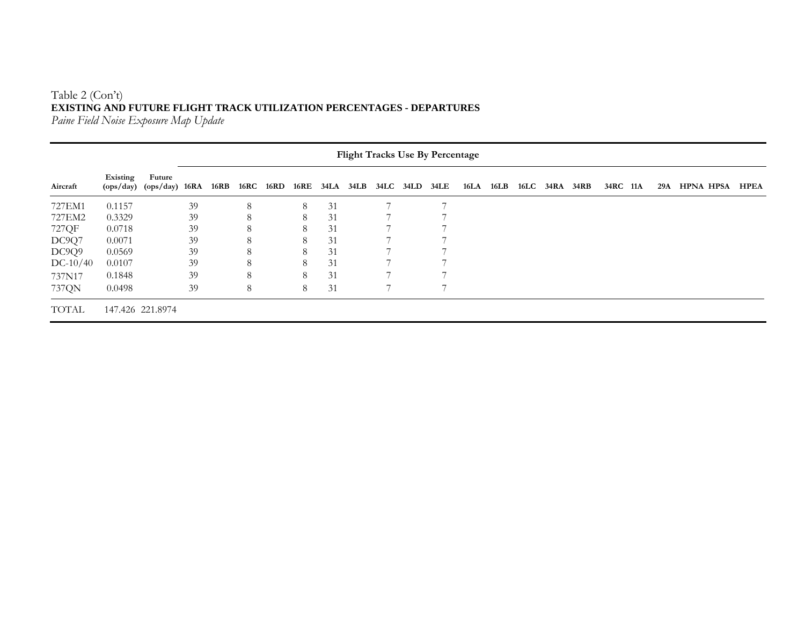## Table 2 (Con't) **EXISTING AND FUTURE FLIGHT TRACK UTILIZATION PERCENTAGES - DEPARTURES**

*Paine Field Noise Exposure Map Update* 

| <b>Flight Tracks Use By Percentage</b> |          |                                        |    |      |      |             |   |    |  |  |                               |  |      |      |                |          |     |                  |             |
|----------------------------------------|----------|----------------------------------------|----|------|------|-------------|---|----|--|--|-------------------------------|--|------|------|----------------|----------|-----|------------------|-------------|
| Aircraft                               | Existing | Future<br>$(ops/day)$ $(ops/day)$ 16RA |    | 16RB | 16RC | <b>16RD</b> |   |    |  |  | 16RE 34LA 34LB 34LC 34LD 34LE |  | 16LA | 16LB | 16LC 34RA 34RB | 34RC 11A | 29A | <b>HPNA HPSA</b> | <b>HPEA</b> |
| 727EM1                                 | 0.1157   |                                        | 39 |      | 8    |             | 8 | 31 |  |  |                               |  |      |      |                |          |     |                  |             |
| 727EM2                                 | 0.3329   |                                        | 39 |      | 8    |             | 8 | 31 |  |  |                               |  |      |      |                |          |     |                  |             |
| 727QF                                  | 0.0718   |                                        | 39 |      | 8    |             | 8 | 31 |  |  |                               |  |      |      |                |          |     |                  |             |
| DC9Q7                                  | 0.0071   |                                        | 39 |      | 8    |             | 8 | 31 |  |  |                               |  |      |      |                |          |     |                  |             |
| DC9Q9                                  | 0.0569   |                                        | 39 |      |      |             | 8 | 31 |  |  |                               |  |      |      |                |          |     |                  |             |
| $DC-10/40$                             | 0.0107   |                                        | 39 |      | 8    |             | 8 | 31 |  |  |                               |  |      |      |                |          |     |                  |             |
| 737N17                                 | 0.1848   |                                        | 39 |      | 8    |             | 8 | 31 |  |  |                               |  |      |      |                |          |     |                  |             |
| 737QN                                  | 0.0498   |                                        | 39 |      | 8    |             | 8 | 31 |  |  |                               |  |      |      |                |          |     |                  |             |
| <b>TOTAL</b>                           |          | 147.426 221.8974                       |    |      |      |             |   |    |  |  |                               |  |      |      |                |          |     |                  |             |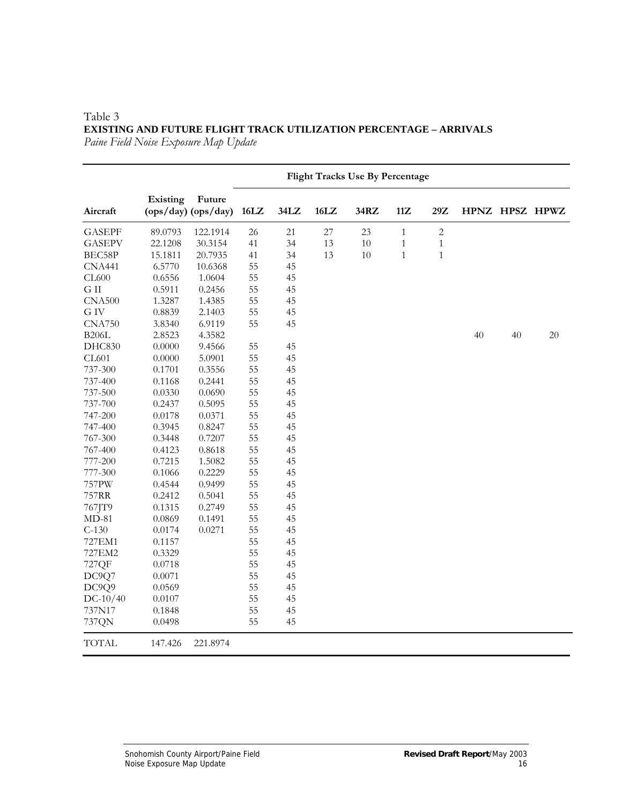|               |          |                                   | <b>Flight Tracks Use By Percentage</b> |      |        |        |              |                |    |    |                |
|---------------|----------|-----------------------------------|----------------------------------------|------|--------|--------|--------------|----------------|----|----|----------------|
| Aircraft      | Existing | Future<br>$(ops/day)$ $(ops/day)$ | 16LZ                                   | 34LZ | 16LZ   | 34RZ   | 11Z          | $29\mathrm{Z}$ |    |    | HPNZ HPSZ HPWZ |
| <b>GASEPF</b> | 89.0793  | 122.1914                          | 26                                     | 21   | $27\,$ | 23     | $\mathbf{1}$ | $\sqrt{2}$     |    |    |                |
| <b>GASEPV</b> | 22.1208  | 30.3154                           | 41                                     | 34   | 13     | $10\,$ | $\mathbf{1}$ | $\mathbf{1}$   |    |    |                |
| BEC58P        | 15.1811  | 20.7935                           | 41                                     | 34   | 13     | 10     | $\mathbf{1}$ | $\mathbf{1}$   |    |    |                |
| <b>CNA441</b> | 6.5770   | 10.6368                           | 55                                     | 45   |        |        |              |                |    |    |                |
| CL600         | 0.6556   | 1.0604                            | 55                                     | 45   |        |        |              |                |    |    |                |
| ${\rm G\ II}$ | 0.5911   | 0.2456                            | 55                                     | 45   |        |        |              |                |    |    |                |
| <b>CNA500</b> | 1.3287   | 1.4385                            | 55                                     | 45   |        |        |              |                |    |    |                |
| G IV          | 0.8839   | 2.1403                            | 55                                     | 45   |        |        |              |                |    |    |                |
| <b>CNA750</b> | 3.8340   | 6.9119                            | 55                                     | 45   |        |        |              |                |    |    |                |
| <b>B206L</b>  | 2.8523   | 4.3582                            |                                        |      |        |        |              |                | 40 | 40 | 20             |
| DHC830        | 0.0000   | 9.4566                            | 55                                     | 45   |        |        |              |                |    |    |                |
| CL601         | 0.0000   | 5.0901                            | 55                                     | 45   |        |        |              |                |    |    |                |
| 737-300       | 0.1701   | 0.3556                            | 55                                     | 45   |        |        |              |                |    |    |                |
| 737-400       | 0.1168   | 0.2441                            | 55                                     | 45   |        |        |              |                |    |    |                |
| 737-500       | 0.0330   | 0.0690                            | 55                                     | 45   |        |        |              |                |    |    |                |
| 737-700       | 0.2437   | 0.5095                            | 55                                     | 45   |        |        |              |                |    |    |                |
| 747-200       | 0.0178   | 0.0371                            | 55                                     | 45   |        |        |              |                |    |    |                |
| 747-400       | 0.3945   | 0.8247                            | 55                                     | 45   |        |        |              |                |    |    |                |
| 767-300       | 0.3448   | 0.7207                            | 55                                     | 45   |        |        |              |                |    |    |                |
| 767-400       | 0.4123   | 0.8618                            | 55                                     | 45   |        |        |              |                |    |    |                |
| 777-200       | 0.7215   | 1.5082                            | 55                                     | 45   |        |        |              |                |    |    |                |
| 777-300       | 0.1066   | 0.2229                            | 55                                     | 45   |        |        |              |                |    |    |                |
| 757PW         | 0.4544   | 0.9499                            | 55                                     | 45   |        |        |              |                |    |    |                |
| 757RR         | 0.2412   | 0.5041                            | 55                                     | 45   |        |        |              |                |    |    |                |
| 767JT9        | 0.1315   | 0.2749                            | 55                                     | 45   |        |        |              |                |    |    |                |
| $MD-81$       | 0.0869   | 0.1491                            | 55                                     | 45   |        |        |              |                |    |    |                |
| $C-130$       | 0.0174   | 0.0271                            | 55                                     | 45   |        |        |              |                |    |    |                |
| 727EM1        | 0.1157   |                                   | 55                                     | 45   |        |        |              |                |    |    |                |
| 727EM2        | 0.3329   |                                   | 55                                     | 45   |        |        |              |                |    |    |                |
| 727QF         | 0.0718   |                                   | 55                                     | 45   |        |        |              |                |    |    |                |
| DC9Q7         | 0.0071   |                                   | 55                                     | 45   |        |        |              |                |    |    |                |
| DC9Q9         | 0.0569   |                                   | 55                                     | 45   |        |        |              |                |    |    |                |
| $DC-10/40$    | 0.0107   |                                   | 55                                     | 45   |        |        |              |                |    |    |                |
| 737N17        | 0.1848   |                                   | 55                                     | 45   |        |        |              |                |    |    |                |
| 737QN         | 0.0498   |                                   | 55                                     | 45   |        |        |              |                |    |    |                |
| <b>TOTAL</b>  | 147.426  | 221.8974                          |                                        |      |        |        |              |                |    |    |                |

#### Table 3 **EXISTING AND FUTURE FLIGHT TRACK UTILIZATION PERCENTAGE – ARRIVALS** *Paine Field Noise Exposure Map Update*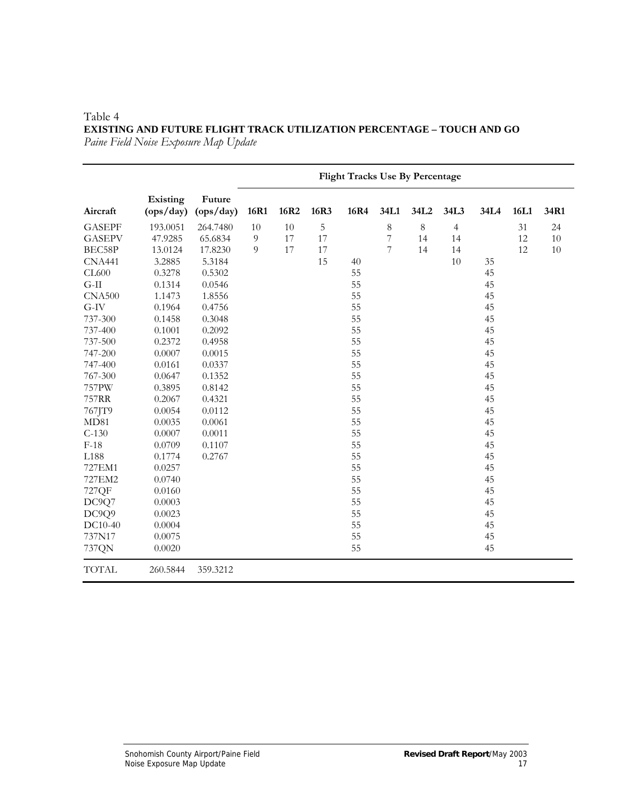#### Table 4 **EXISTING AND FUTURE FLIGHT TRACK UTILIZATION PERCENTAGE – TOUCH AND GO** *Paine Field Noise Exposure Map Update*

|               |                       |                     | <b>Flight Tracks Use By Percentage</b> |      |      |      |                          |         |                |      |      |      |
|---------------|-----------------------|---------------------|----------------------------------------|------|------|------|--------------------------|---------|----------------|------|------|------|
| Aircraft      | Existing<br>(ops/day) | Future<br>(ops/day) | 16R1                                   | 16R2 | 16R3 | 16R4 | 34L1                     | 34L2    | 34L3           | 34L4 | 16L1 | 34R1 |
| <b>GASEPF</b> | 193.0051              | 264.7480            | 10                                     | 10   | 5    |      | $\,8\,$                  | $\,8\,$ | $\overline{4}$ |      | 31   | 24   |
| <b>GASEPV</b> | 47.9285               | 65.6834             | $\overline{9}$                         | 17   | 17   |      | $\overline{\mathcal{I}}$ | 14      | 14             |      | 12   | 10   |
| BEC58P        | 13.0124               | 17.8230             | $\overline{9}$                         | 17   | 17   |      | 7                        | 14      | 14             |      | 12   | 10   |
| <b>CNA441</b> | 3.2885                | 5.3184              |                                        |      | 15   | 40   |                          |         | 10             | 35   |      |      |
| CL600         | 0.3278                | 0.5302              |                                        |      |      | 55   |                          |         |                | 45   |      |      |
| $G-II$        | 0.1314                | 0.0546              |                                        |      |      | 55   |                          |         |                | 45   |      |      |
| <b>CNA500</b> | 1.1473                | 1.8556              |                                        |      |      | 55   |                          |         |                | 45   |      |      |
| $G-IV$        | 0.1964                | 0.4756              |                                        |      |      | 55   |                          |         |                | 45   |      |      |
| 737-300       | 0.1458                | 0.3048              |                                        |      |      | 55   |                          |         |                | 45   |      |      |
| 737-400       | 0.1001                | 0.2092              |                                        |      |      | 55   |                          |         |                | 45   |      |      |
| 737-500       | 0.2372                | 0.4958              |                                        |      |      | 55   |                          |         |                | 45   |      |      |
| 747-200       | 0.0007                | 0.0015              |                                        |      |      | 55   |                          |         |                | 45   |      |      |
| 747-400       | 0.0161                | 0.0337              |                                        |      |      | 55   |                          |         |                | 45   |      |      |
| 767-300       | 0.0647                | 0.1352              |                                        |      |      | 55   |                          |         |                | 45   |      |      |
| 757PW         | 0.3895                | 0.8142              |                                        |      |      | 55   |                          |         |                | 45   |      |      |
| 757RR         | 0.2067                | 0.4321              |                                        |      |      | 55   |                          |         |                | 45   |      |      |
| 767JT9        | 0.0054                | 0.0112              |                                        |      |      | 55   |                          |         |                | 45   |      |      |
| MD81          | 0.0035                | 0.0061              |                                        |      |      | 55   |                          |         |                | 45   |      |      |
| $C-130$       | 0.0007                | 0.0011              |                                        |      |      | 55   |                          |         |                | 45   |      |      |
| $F-18$        | 0.0709                | 0.1107              |                                        |      |      | 55   |                          |         |                | 45   |      |      |
| L188          | 0.1774                | 0.2767              |                                        |      |      | 55   |                          |         |                | 45   |      |      |
| 727EM1        | 0.0257                |                     |                                        |      |      | 55   |                          |         |                | 45   |      |      |
| 727EM2        | 0.0740                |                     |                                        |      |      | 55   |                          |         |                | 45   |      |      |
| 727QF         | 0.0160                |                     |                                        |      |      | 55   |                          |         |                | 45   |      |      |
| DC9Q7         | 0.0003                |                     |                                        |      |      | 55   |                          |         |                | 45   |      |      |
| DC9Q9         | 0.0023                |                     |                                        |      |      | 55   |                          |         |                | 45   |      |      |
| DC10-40       | 0.0004                |                     |                                        |      |      | 55   |                          |         |                | 45   |      |      |
| 737N17        | 0.0075                |                     |                                        |      |      | 55   |                          |         |                | 45   |      |      |
| 737QN         | 0.0020                |                     |                                        |      |      | 55   |                          |         |                | 45   |      |      |
| <b>TOTAL</b>  | 260.5844              | 359.3212            |                                        |      |      |      |                          |         |                |      |      |      |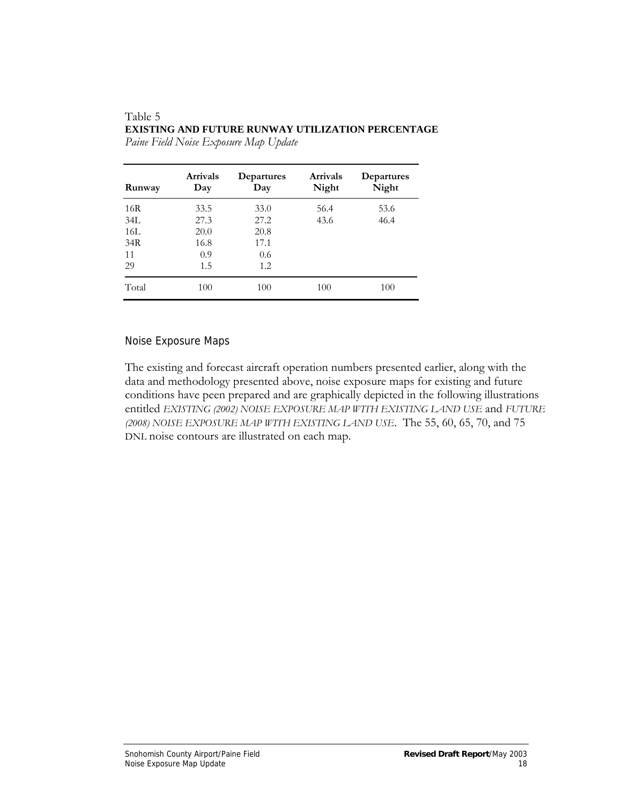#### Table 5 **EXISTING AND FUTURE RUNWAY UTILIZATION PERCENTAGE**

| Runway | <b>Arrivals</b><br>Day | Departures<br>Day | <b>Arrivals</b><br>Night | Departures<br>Night |
|--------|------------------------|-------------------|--------------------------|---------------------|
| 16R    | 33.5                   | 33.0              | 56.4                     | 53.6                |
| 34L    | 27.3                   | 27.2              | 43.6                     | 46.4                |
| 16L    | 20.0                   | 20.8              |                          |                     |
| 34R    | 16.8                   | 17.1              |                          |                     |
| 11     | 0.9                    | 0.6               |                          |                     |
| 29     | 1.5                    | 1.2               |                          |                     |
| Total  | 100                    | 100               | 100                      | 100                 |

*Paine Field Noise Exposure Map Update* 

#### Noise Exposure Maps

The existing and forecast aircraft operation numbers presented earlier, along with the data and methodology presented above, noise exposure maps for existing and future conditions have peen prepared and are graphically depicted in the following illustrations entitled *EXISTING (2002) NOISE EXPOSURE MAP WITH EXISTING LAND USE* and *FUTURE (2008) NOISE EXPOSURE MAP WITH EXISTING LAND USE*. The 55, 60, 65, 70, and 75 DNL noise contours are illustrated on each map.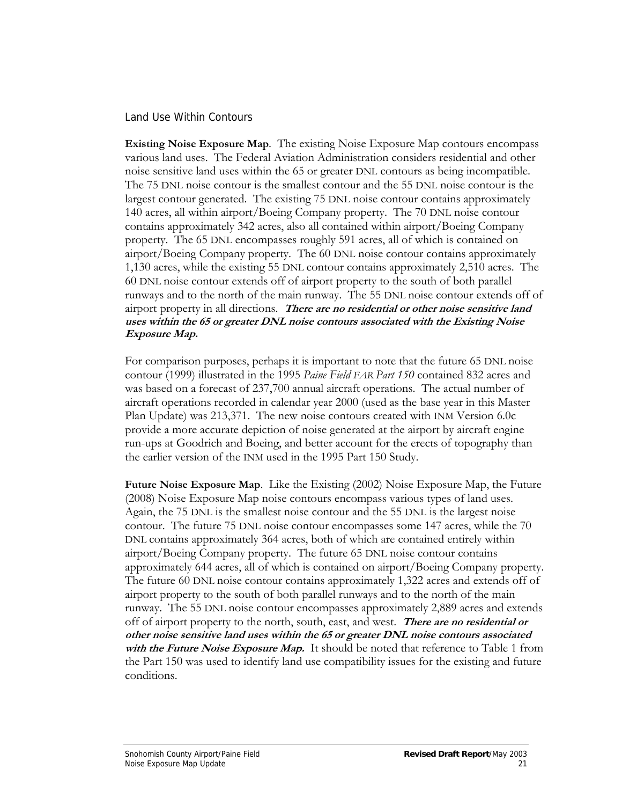#### Land Use Within Contours

**Existing Noise Exposure Map**. The existing Noise Exposure Map contours encompass various land uses. The Federal Aviation Administration considers residential and other noise sensitive land uses within the 65 or greater DNL contours as being incompatible. The 75 DNL noise contour is the smallest contour and the 55 DNL noise contour is the largest contour generated. The existing 75 DNL noise contour contains approximately 140 acres, all within airport/Boeing Company property. The 70 DNL noise contour contains approximately 342 acres, also all contained within airport/Boeing Company property. The 65 DNL encompasses roughly 591 acres, all of which is contained on airport/Boeing Company property. The 60 DNL noise contour contains approximately 1,130 acres, while the existing 55 DNL contour contains approximately 2,510 acres. The 60 DNL noise contour extends off of airport property to the south of both parallel runways and to the north of the main runway. The 55 DNL noise contour extends off of airport property in all directions. **There are no residential or other noise sensitive land uses within the 65 or greater DNL noise contours associated with the Existing Noise Exposure Map.**

For comparison purposes, perhaps it is important to note that the future 65 DNL noise contour (1999) illustrated in the 1995 *Paine Field FAR Part 150* contained 832 acres and was based on a forecast of 237,700 annual aircraft operations. The actual number of aircraft operations recorded in calendar year 2000 (used as the base year in this Master Plan Update) was 213,371. The new noise contours created with INM Version 6.0c provide a more accurate depiction of noise generated at the airport by aircraft engine run-ups at Goodrich and Boeing, and better account for the erects of topography than the earlier version of the INM used in the 1995 Part 150 Study.

**Future Noise Exposure Map**. Like the Existing (2002) Noise Exposure Map, the Future (2008) Noise Exposure Map noise contours encompass various types of land uses. Again, the 75 DNL is the smallest noise contour and the 55 DNL is the largest noise contour. The future 75 DNL noise contour encompasses some 147 acres, while the 70 DNL contains approximately 364 acres, both of which are contained entirely within airport/Boeing Company property. The future 65 DNL noise contour contains approximately 644 acres, all of which is contained on airport/Boeing Company property. The future 60 DNL noise contour contains approximately 1,322 acres and extends off of airport property to the south of both parallel runways and to the north of the main runway. The 55 DNL noise contour encompasses approximately 2,889 acres and extends off of airport property to the north, south, east, and west. **There are no residential or other noise sensitive land uses within the 65 or greater DNL noise contours associated**  with the Future Noise Exposure Map. It should be noted that reference to Table 1 from the Part 150 was used to identify land use compatibility issues for the existing and future conditions.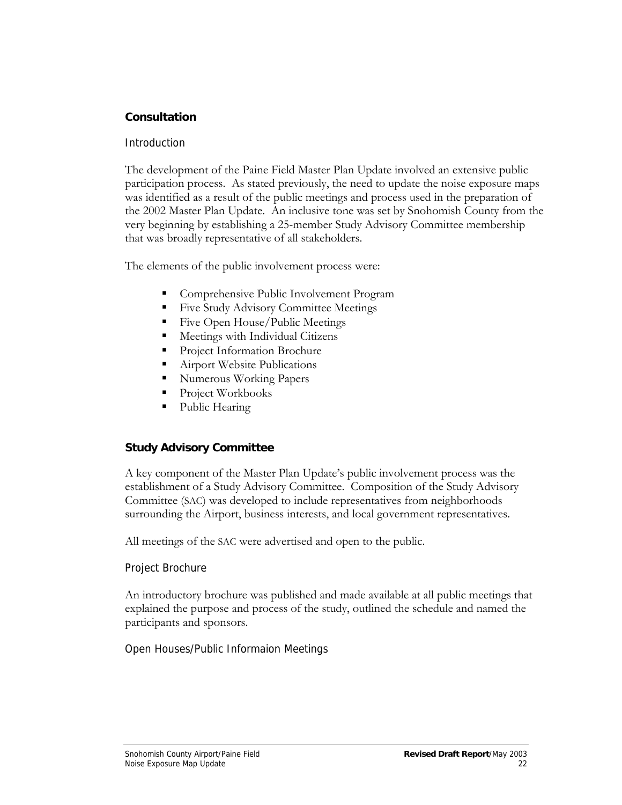## **Consultation**

### **Introduction**

The development of the Paine Field Master Plan Update involved an extensive public participation process. As stated previously, the need to update the noise exposure maps was identified as a result of the public meetings and process used in the preparation of the 2002 Master Plan Update. An inclusive tone was set by Snohomish County from the very beginning by establishing a 25-member Study Advisory Committee membership that was broadly representative of all stakeholders.

The elements of the public involvement process were:

- Comprehensive Public Involvement Program
- Five Study Advisory Committee Meetings
- **Five Open House/Public Meetings**
- Meetings with Individual Citizens
- **Project Information Brochure**
- **Airport Website Publications**
- **Numerous Working Papers**
- Project Workbooks
- Public Hearing

## **Study Advisory Committee**

A key component of the Master Plan Update's public involvement process was the establishment of a Study Advisory Committee. Composition of the Study Advisory Committee (SAC) was developed to include representatives from neighborhoods surrounding the Airport, business interests, and local government representatives.

All meetings of the SAC were advertised and open to the public.

## Project Brochure

An introductory brochure was published and made available at all public meetings that explained the purpose and process of the study, outlined the schedule and named the participants and sponsors.

Open Houses/Public Informaion Meetings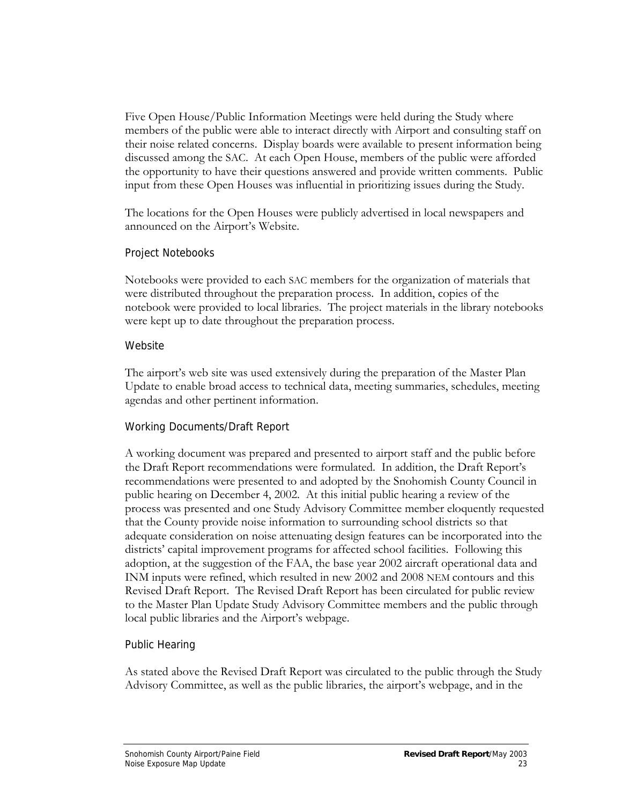Five Open House/Public Information Meetings were held during the Study where members of the public were able to interact directly with Airport and consulting staff on their noise related concerns. Display boards were available to present information being discussed among the SAC. At each Open House, members of the public were afforded the opportunity to have their questions answered and provide written comments. Public input from these Open Houses was influential in prioritizing issues during the Study.

The locations for the Open Houses were publicly advertised in local newspapers and announced on the Airport's Website.

### Project Notebooks

Notebooks were provided to each SAC members for the organization of materials that were distributed throughout the preparation process. In addition, copies of the notebook were provided to local libraries. The project materials in the library notebooks were kept up to date throughout the preparation process.

### Website

The airport's web site was used extensively during the preparation of the Master Plan Update to enable broad access to technical data, meeting summaries, schedules, meeting agendas and other pertinent information.

## Working Documents/Draft Report

A working document was prepared and presented to airport staff and the public before the Draft Report recommendations were formulated. In addition, the Draft Report's recommendations were presented to and adopted by the Snohomish County Council in public hearing on December 4, 2002. At this initial public hearing a review of the process was presented and one Study Advisory Committee member eloquently requested that the County provide noise information to surrounding school districts so that adequate consideration on noise attenuating design features can be incorporated into the districts' capital improvement programs for affected school facilities. Following this adoption, at the suggestion of the FAA, the base year 2002 aircraft operational data and INM inputs were refined, which resulted in new 2002 and 2008 NEM contours and this Revised Draft Report. The Revised Draft Report has been circulated for public review to the Master Plan Update Study Advisory Committee members and the public through local public libraries and the Airport's webpage.

## Public Hearing

As stated above the Revised Draft Report was circulated to the public through the Study Advisory Committee, as well as the public libraries, the airport's webpage, and in the